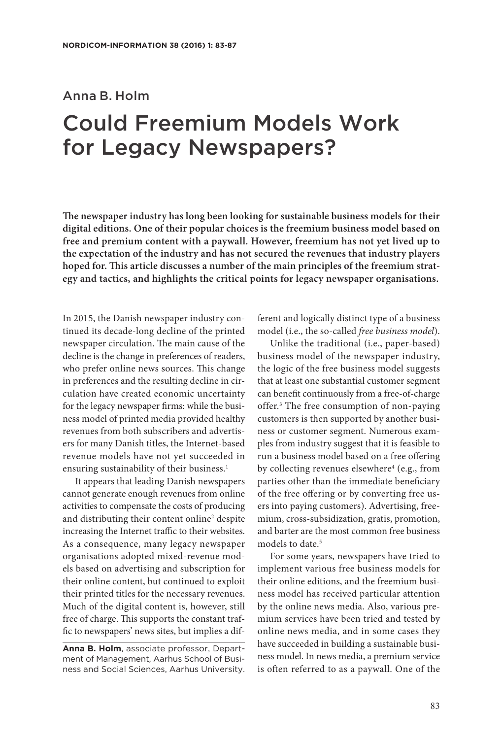# Anna B. Holm Could Freemium Models Work for Legacy Newspapers?

**The newspaper industry has long been looking for sustainable business models for their digital editions. One of their popular choices is the freemium business model based on free and premium content with a paywall. However, freemium has not yet lived up to the expectation of the industry and has not secured the revenues that industry players hoped for. This article discusses a number of the main principles of the freemium strategy and tactics, and highlights the critical points for legacy newspaper organisations.** 

In 2015, the Danish newspaper industry continued its decade-long decline of the printed newspaper circulation. The main cause of the decline is the change in preferences of readers, who prefer online news sources. This change in preferences and the resulting decline in circulation have created economic uncertainty for the legacy newspaper firms: while the business model of printed media provided healthy revenues from both subscribers and advertisers for many Danish titles, the Internet-based revenue models have not yet succeeded in ensuring sustainability of their business.<sup>1</sup>

It appears that leading Danish newspapers cannot generate enough revenues from online activities to compensate the costs of producing and distributing their content online<sup>2</sup> despite increasing the Internet traffic to their websites. As a consequence, many legacy newspaper organisations adopted mixed-revenue models based on advertising and subscription for their online content, but continued to exploit their printed titles for the necessary revenues. Much of the digital content is, however, still free of charge. This supports the constant traffic to newspapers' news sites, but implies a dif-

**Anna B. Holm**, associate professor, Department of Management, Aarhus School of Business and Social Sciences, Aarhus University. ferent and logically distinct type of a business model (i.e., the so-called *free business model*).

Unlike the traditional (i.e., paper-based) business model of the newspaper industry, the logic of the free business model suggests that at least one substantial customer segment can benefit continuously from a free-of-charge offer.3 The free consumption of non-paying customers is then supported by another business or customer segment. Numerous examples from industry suggest that it is feasible to run a business model based on a free offering by collecting revenues elsewhere<sup>4</sup> (e.g., from parties other than the immediate beneficiary of the free offering or by converting free users into paying customers). Advertising, freemium, cross-subsidization, gratis, promotion, and barter are the most common free business models to date.<sup>5</sup>

For some years, newspapers have tried to implement various free business models for their online editions, and the freemium business model has received particular attention by the online news media. Also, various premium services have been tried and tested by online news media, and in some cases they have succeeded in building a sustainable business model. In news media, a premium service is often referred to as a paywall. One of the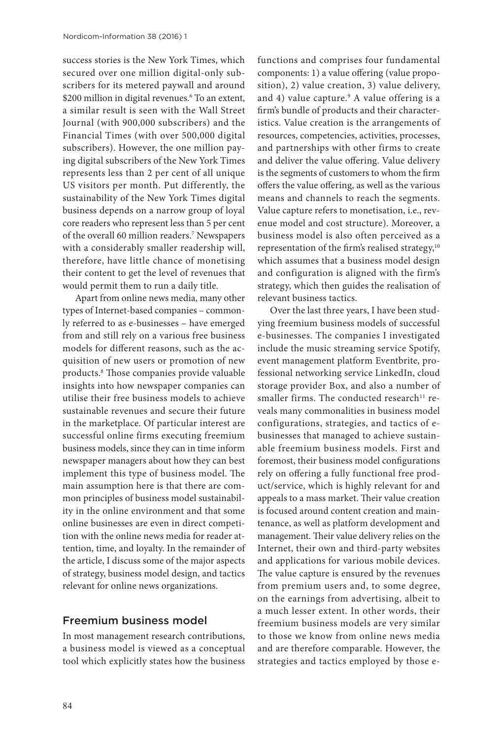success stories is the New York Times, which secured over one million digital-only subscribers for its metered paywall and around \$200 million in digital revenues.6 To an extent, a similar result is seen with the Wall Street Journal (with 900,000 subscribers) and the Financial Times (with over 500,000 digital subscribers). However, the one million paying digital subscribers of the New York Times represents less than 2 per cent of all unique US visitors per month. Put differently, the sustainability of the New York Times digital business depends on a narrow group of loyal core readers who represent less than 5 per cent of the overall 60 million readers.7 Newspapers with a considerably smaller readership will, therefore, have little chance of monetising their content to get the level of revenues that would permit them to run a daily title.

Apart from online news media, many other types of Internet-based companies – commonly referred to as e-businesses – have emerged from and still rely on a various free business models for different reasons, such as the acquisition of new users or promotion of new products.8 Those companies provide valuable insights into how newspaper companies can utilise their free business models to achieve sustainable revenues and secure their future in the marketplace. Of particular interest are successful online firms executing freemium business models, since they can in time inform newspaper managers about how they can best implement this type of business model. The main assumption here is that there are common principles of business model sustainability in the online environment and that some online businesses are even in direct competition with the online news media for reader attention, time, and loyalty. In the remainder of the article, I discuss some of the major aspects of strategy, business model design, and tactics relevant for online news organizations.

#### Freemium business model

In most management research contributions, a business model is viewed as a conceptual tool which explicitly states how the business functions and comprises four fundamental components: 1) a value offering (value proposition), 2) value creation, 3) value delivery, and 4) value capture.9 A value offering is a firm's bundle of products and their characteristics. Value creation is the arrangements of resources, competencies, activities, processes, and partnerships with other firms to create and deliver the value offering. Value delivery is the segments of customers to whom the firm offers the value offering, as well as the various means and channels to reach the segments. Value capture refers to monetisation, i.e., revenue model and cost structure). Moreover, a business model is also often perceived as a representation of the firm's realised strategy, $10$ which assumes that a business model design and configuration is aligned with the firm's strategy, which then guides the realisation of relevant business tactics.

Over the last three years, I have been studying freemium business models of successful e-businesses. The companies I investigated include the music streaming service Spotify, event management platform Eventbrite, professional networking service LinkedIn, cloud storage provider Box, and also a number of smaller firms. The conducted research<sup>11</sup> reveals many commonalities in business model configurations, strategies, and tactics of ebusinesses that managed to achieve sustainable freemium business models. First and foremost, their business model configurations rely on offering a fully functional free product/service, which is highly relevant for and appeals to a mass market. Their value creation is focused around content creation and maintenance, as well as platform development and management. Their value delivery relies on the Internet, their own and third-party websites and applications for various mobile devices. The value capture is ensured by the revenues from premium users and, to some degree, on the earnings from advertising, albeit to a much lesser extent. In other words, their freemium business models are very similar to those we know from online news media and are therefore comparable. However, the strategies and tactics employed by those e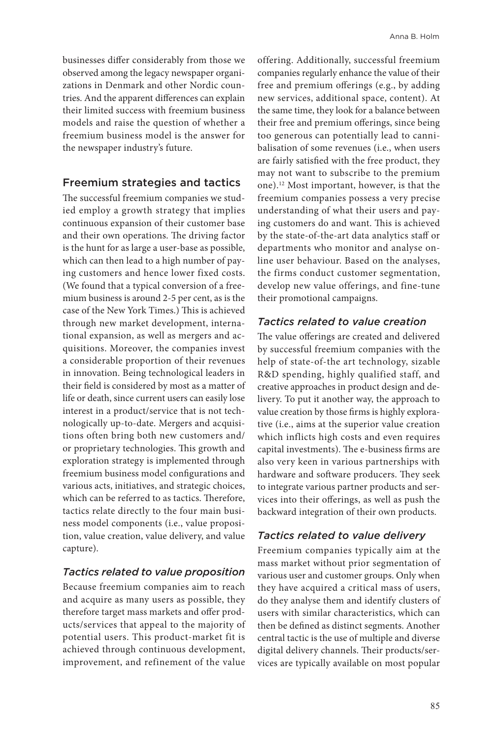businesses differ considerably from those we observed among the legacy newspaper organizations in Denmark and other Nordic countries. And the apparent differences can explain their limited success with freemium business models and raise the question of whether a freemium business model is the answer for the newspaper industry's future.

#### Freemium strategies and tactics

The successful freemium companies we studied employ a growth strategy that implies continuous expansion of their customer base and their own operations. The driving factor is the hunt for as large a user-base as possible, which can then lead to a high number of paying customers and hence lower fixed costs. (We found that a typical conversion of a freemium business is around 2-5 per cent, as is the case of the New York Times.) This is achieved through new market development, international expansion, as well as mergers and acquisitions. Moreover, the companies invest a considerable proportion of their revenues in innovation. Being technological leaders in their field is considered by most as a matter of life or death, since current users can easily lose interest in a product/service that is not technologically up-to-date. Mergers and acquisitions often bring both new customers and/ or proprietary technologies. This growth and exploration strategy is implemented through freemium business model configurations and various acts, initiatives, and strategic choices, which can be referred to as tactics. Therefore, tactics relate directly to the four main business model components (i.e., value proposition, value creation, value delivery, and value capture).

### *Tactics related to value proposition*

Because freemium companies aim to reach and acquire as many users as possible, they therefore target mass markets and offer products/services that appeal to the majority of potential users. This product-market fit is achieved through continuous development, improvement, and refinement of the value

offering. Additionally, successful freemium companies regularly enhance the value of their free and premium offerings (e.g., by adding new services, additional space, content). At the same time, they look for a balance between their free and premium offerings, since being too generous can potentially lead to cannibalisation of some revenues (i.e., when users are fairly satisfied with the free product, they may not want to subscribe to the premium one).12 Most important, however, is that the freemium companies possess a very precise understanding of what their users and paying customers do and want. This is achieved by the state-of-the-art data analytics staff or departments who monitor and analyse online user behaviour. Based on the analyses, the firms conduct customer segmentation, develop new value offerings, and fine-tune their promotional campaigns.

## *Tactics related to value creation*

The value offerings are created and delivered by successful freemium companies with the help of state-of-the art technology, sizable R&D spending, highly qualified staff, and creative approaches in product design and delivery. To put it another way, the approach to value creation by those firms is highly explorative (i.e., aims at the superior value creation which inflicts high costs and even requires capital investments). The e-business firms are also very keen in various partnerships with hardware and software producers. They seek to integrate various partner products and services into their offerings, as well as push the backward integration of their own products.

## *Tactics related to value delivery*

Freemium companies typically aim at the mass market without prior segmentation of various user and customer groups. Only when they have acquired a critical mass of users, do they analyse them and identify clusters of users with similar characteristics, which can then be defined as distinct segments. Another central tactic is the use of multiple and diverse digital delivery channels. Their products/services are typically available on most popular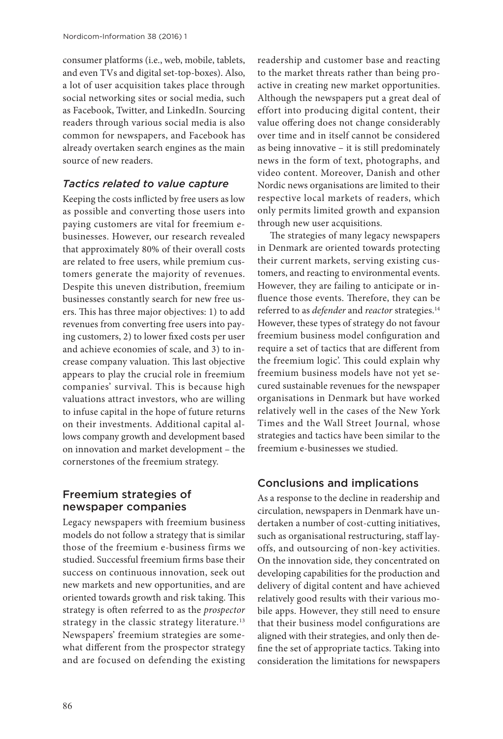consumer platforms (i.e., web, mobile, tablets, and even TVs and digital set-top-boxes). Also, a lot of user acquisition takes place through social networking sites or social media, such as Facebook, Twitter, and LinkedIn. Sourcing readers through various social media is also common for newspapers, and Facebook has already overtaken search engines as the main source of new readers.

### *Tactics related to value capture*

Keeping the costs inflicted by free users as low as possible and converting those users into paying customers are vital for freemium ebusinesses. However, our research revealed that approximately 80% of their overall costs are related to free users, while premium customers generate the majority of revenues. Despite this uneven distribution, freemium businesses constantly search for new free users. This has three major objectives: 1) to add revenues from converting free users into paying customers, 2) to lower fixed costs per user and achieve economies of scale, and 3) to increase company valuation. This last objective appears to play the crucial role in freemium companies' survival. This is because high valuations attract investors, who are willing to infuse capital in the hope of future returns on their investments. Additional capital allows company growth and development based on innovation and market development – the cornerstones of the freemium strategy.

# Freemium strategies of newspaper companies

Legacy newspapers with freemium business models do not follow a strategy that is similar those of the freemium e-business firms we studied. Successful freemium firms base their success on continuous innovation, seek out new markets and new opportunities, and are oriented towards growth and risk taking. This strategy is often referred to as the *prospector* strategy in the classic strategy literature.<sup>13</sup> Newspapers' freemium strategies are somewhat different from the prospector strategy and are focused on defending the existing

readership and customer base and reacting to the market threats rather than being proactive in creating new market opportunities. Although the newspapers put a great deal of effort into producing digital content, their value offering does not change considerably over time and in itself cannot be considered as being innovative – it is still predominately news in the form of text, photographs, and video content. Moreover, Danish and other Nordic news organisations are limited to their respective local markets of readers, which only permits limited growth and expansion through new user acquisitions.

The strategies of many legacy newspapers in Denmark are oriented towards protecting their current markets, serving existing customers, and reacting to environmental events. However, they are failing to anticipate or influence those events. Therefore, they can be referred to as *defender* and *reactor* strategies.<sup>14</sup> However, these types of strategy do not favour freemium business model configuration and require a set of tactics that are different from the freemium logic'. This could explain why freemium business models have not yet secured sustainable revenues for the newspaper organisations in Denmark but have worked relatively well in the cases of the New York Times and the Wall Street Journal*,* whose strategies and tactics have been similar to the freemium e-businesses we studied.

# Conclusions and implications

As a response to the decline in readership and circulation, newspapers in Denmark have undertaken a number of cost-cutting initiatives, such as organisational restructuring, staff layoffs, and outsourcing of non-key activities. On the innovation side, they concentrated on developing capabilities for the production and delivery of digital content and have achieved relatively good results with their various mobile apps. However, they still need to ensure that their business model configurations are aligned with their strategies, and only then define the set of appropriate tactics. Taking into consideration the limitations for newspapers